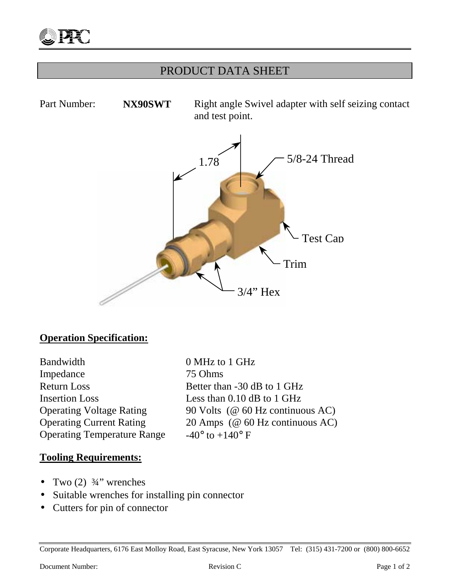

# PRODUCT DATA SHEET

Part Number: **NX90SWT** Right angle Swivel adapter with self seizing contact and test point. 3/4" Hex Trim Test Cap 1.78  $\bigcup$  5/8-24 Thread

### **Operation Specification:**

Bandwidth 0 MHz to 1 GHz Impedance 75 Ohms Return Loss Better than -30 dB to 1 GHz Insertion Loss Less than 0.10 dB to 1 GHz Operating Temperature Range  $-40^{\circ}$  to  $+140^{\circ}$  F

Operating Voltage Rating 90 Volts (@ 60 Hz continuous AC) Operating Current Rating 20 Amps (@ 60 Hz continuous AC)

#### **Tooling Requirements:**

- Two  $(2)$   $\frac{3}{4}$ " wrenches
- Suitable wrenches for installing pin connector
- Cutters for pin of connector

Corporate Headquarters, 6176 East Molloy Road, East Syracuse, New York 13057 Tel: (315) 431-7200 or (800) 800-6652